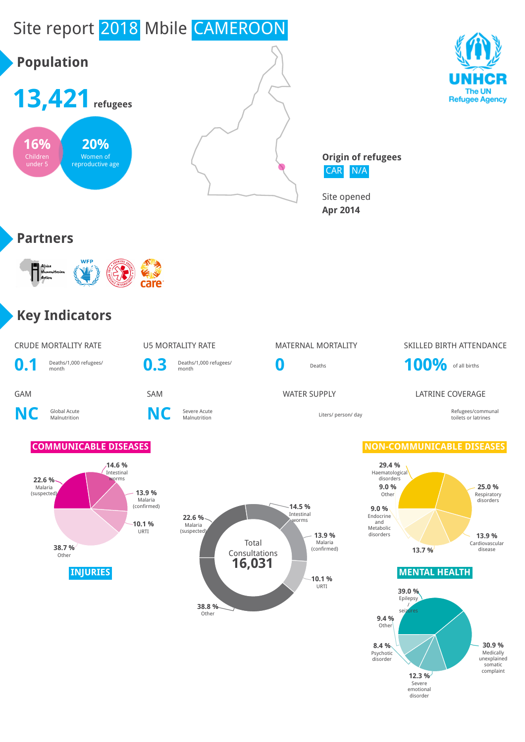

disorder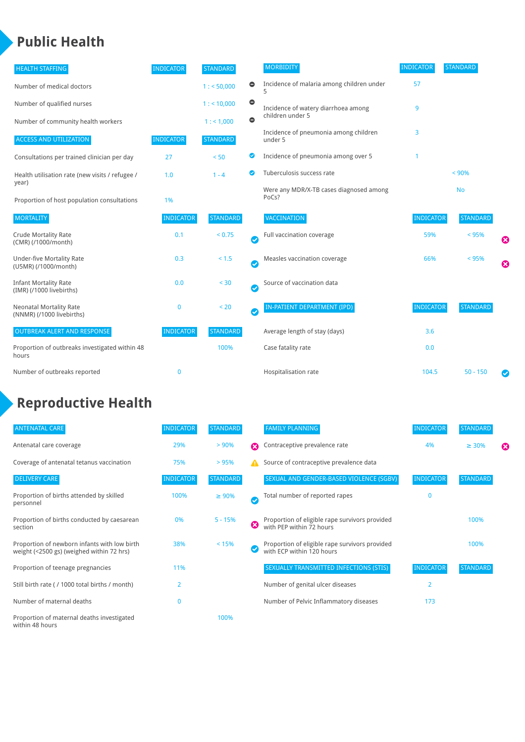### **Public Health**

| <b>HEALTH STAFFING</b>                                      | <b>INDICATOR</b> | <b>STANDARD</b> |           | <b>MORBIDITY</b>                                 | <b>INDICATOR</b> | <b>STANDARD</b> |   |
|-------------------------------------------------------------|------------------|-----------------|-----------|--------------------------------------------------|------------------|-----------------|---|
| Number of medical doctors                                   |                  | 1: 50,000       | $\bullet$ | Incidence of malaria among children under        | 57               |                 |   |
| Number of qualified nurses                                  |                  | $1:$ < 10,000   | $\bullet$ | Incidence of watery diarrhoea among              | 9                |                 |   |
| Number of community health workers                          |                  | 1:1,000         | $\bullet$ | children under 5                                 |                  |                 |   |
| <b>ACCESS AND UTILIZATION</b>                               | <b>INDICATOR</b> | <b>STANDARD</b> |           | Incidence of pneumonia among children<br>under 5 | 3                |                 |   |
| Consultations per trained clinician per day                 | 27               | < 50            | Ø         | Incidence of pneumonia among over 5              |                  |                 |   |
| Health utilisation rate (new visits / refugee /             | 1.0              | $1 - 4$         | ☑         | Tuberculosis success rate                        |                  | < 90%           |   |
| year)<br>Proportion of host population consultations        | 1%               |                 |           | Were any MDR/X-TB cases diagnosed among<br>PoCs? |                  | <b>No</b>       |   |
| <b>MORTALITY</b>                                            | <b>INDICATOR</b> | <b>STANDARD</b> |           | <b>VACCINATION</b>                               | <b>INDICATOR</b> | <b>STANDARD</b> |   |
| <b>Crude Mortality Rate</b><br>(CMR) (/1000/month)          | 0.1              | < 0.75          | Ø         | Full vaccination coverage                        | 59%              | < 95%           | ೞ |
| Under-five Mortality Rate<br>(U5MR) (/1000/month)           | 0.3              | < 1.5           | Ø         | Measles vaccination coverage                     | 66%              | < 95%           | Ø |
| <b>Infant Mortality Rate</b><br>(IMR) (/1000 livebirths)    | 0.0              | $30$            | Ø         | Source of vaccination data                       |                  |                 |   |
| <b>Neonatal Mortality Rate</b><br>(NNMR) (/1000 livebirths) | $\bf{0}$         | < 20            | Ø         | IN-PATIENT DEPARTMENT (IPD)                      | <b>INDICATOR</b> | <b>STANDARD</b> |   |
| <b>OUTBREAK ALERT AND RESPONSE</b>                          | <b>INDICATOR</b> | <b>STANDARD</b> |           | Average length of stay (days)                    | 3.6              |                 |   |
| Proportion of outbreaks investigated within 48<br>hours     |                  | 100%            |           | Case fatality rate                               | 0.0              |                 |   |
| Number of outbreaks reported                                | 0                |                 |           | Hospitalisation rate                             | 104.5            | $50 - 150$      |   |

# **Reproductive Health**

| <b>ANTENATAL CARE</b>                                                                     | <b>INDICATOR</b> | <b>STANDARD</b> |               | <b>FAMILY PLANNING</b>                                                      | <b>INDICATOR</b> | <b>STANDARD</b> |   |
|-------------------------------------------------------------------------------------------|------------------|-----------------|---------------|-----------------------------------------------------------------------------|------------------|-----------------|---|
| Antenatal care coverage                                                                   | 29%              | > 90%           | Ω             | Contraceptive prevalence rate                                               | 4%               | $\geq 30\%$     | ⊠ |
| Coverage of antenatal tetanus vaccination                                                 | 75%              | >95%            |               | Source of contraceptive prevalence data                                     |                  |                 |   |
| <b>DELIVERY CARE</b>                                                                      | <b>INDICATOR</b> | <b>STANDARD</b> |               | SEXUAL AND GENDER-BASED VIOLENCE (SGBV)                                     | <b>INDICATOR</b> | <b>STANDARD</b> |   |
| Proportion of births attended by skilled<br>personnel                                     | 100%             | $\geq 90\%$     | $\bm{\omega}$ | Total number of reported rapes                                              | $\mathbf{0}$     |                 |   |
| Proportion of births conducted by caesarean<br>section                                    | 0%               | $5 - 15%$       | ظ             | Proportion of eligible rape survivors provided<br>with PEP within 72 hours  |                  | 100%            |   |
| Proportion of newborn infants with low birth<br>weight (<2500 gs) (weighed within 72 hrs) | 38%              | < 15%           |               | Proportion of eligible rape survivors provided<br>with ECP within 120 hours |                  | 100%            |   |
| Proportion of teenage pregnancies                                                         | 11%              |                 |               | SEXUALLY TRANSMITTED INFECTIONS (STIS)                                      | <b>INDICATOR</b> | <b>STANDARD</b> |   |
| Still birth rate (/ 1000 total births / month)                                            | 2                |                 |               | Number of genital ulcer diseases                                            | $\overline{2}$   |                 |   |
| Number of maternal deaths                                                                 | $\mathbf{0}$     |                 |               | Number of Pelvic Inflammatory diseases                                      | 173              |                 |   |
| Proportion of maternal deaths investigated<br>within 48 hours                             |                  | 100%            |               |                                                                             |                  |                 |   |